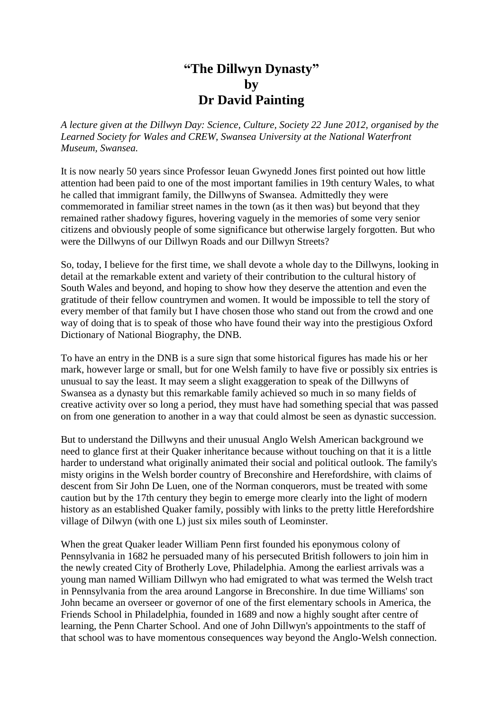## **"The Dillwyn Dynasty" by Dr David Painting**

*A lecture given at the Dillwyn Day: Science, Culture, Society 22 June 2012, organised by the Learned Society for Wales and CREW, Swansea University at the National Waterfront Museum, Swansea.*

It is now nearly 50 years since Professor Ieuan Gwynedd Jones first pointed out how little attention had been paid to one of the most important families in 19th century Wales, to what he called that immigrant family, the Dillwyns of Swansea. Admittedly they were commemorated in familiar street names in the town (as it then was) but beyond that they remained rather shadowy figures, hovering vaguely in the memories of some very senior citizens and obviously people of some significance but otherwise largely forgotten. But who were the Dillwyns of our Dillwyn Roads and our Dillwyn Streets?

So, today, I believe for the first time, we shall devote a whole day to the Dillwyns, looking in detail at the remarkable extent and variety of their contribution to the cultural history of South Wales and beyond, and hoping to show how they deserve the attention and even the gratitude of their fellow countrymen and women. It would be impossible to tell the story of every member of that family but I have chosen those who stand out from the crowd and one way of doing that is to speak of those who have found their way into the prestigious Oxford Dictionary of National Biography, the DNB.

To have an entry in the DNB is a sure sign that some historical figures has made his or her mark, however large or small, but for one Welsh family to have five or possibly six entries is unusual to say the least. It may seem a slight exaggeration to speak of the Dillwyns of Swansea as a dynasty but this remarkable family achieved so much in so many fields of creative activity over so long a period, they must have had something special that was passed on from one generation to another in a way that could almost be seen as dynastic succession.

But to understand the Dillwyns and their unusual Anglo Welsh American background we need to glance first at their Quaker inheritance because without touching on that it is a little harder to understand what originally animated their social and political outlook. The family's misty origins in the Welsh border country of Breconshire and Herefordshire, with claims of descent from Sir John De Luen, one of the Norman conquerors, must be treated with some caution but by the 17th century they begin to emerge more clearly into the light of modern history as an established Quaker family, possibly with links to the pretty little Herefordshire village of Dilwyn (with one L) just six miles south of Leominster.

When the great Quaker leader William Penn first founded his eponymous colony of Pennsylvania in 1682 he persuaded many of his persecuted British followers to join him in the newly created City of Brotherly Love, Philadelphia. Among the earliest arrivals was a young man named William Dillwyn who had emigrated to what was termed the Welsh tract in Pennsylvania from the area around Langorse in Breconshire. In due time Williams' son John became an overseer or governor of one of the first elementary schools in America, the Friends School in Philadelphia, founded in 1689 and now a highly sought after centre of learning, the Penn Charter School. And one of John Dillwyn's appointments to the staff of that school was to have momentous consequences way beyond the Anglo-Welsh connection.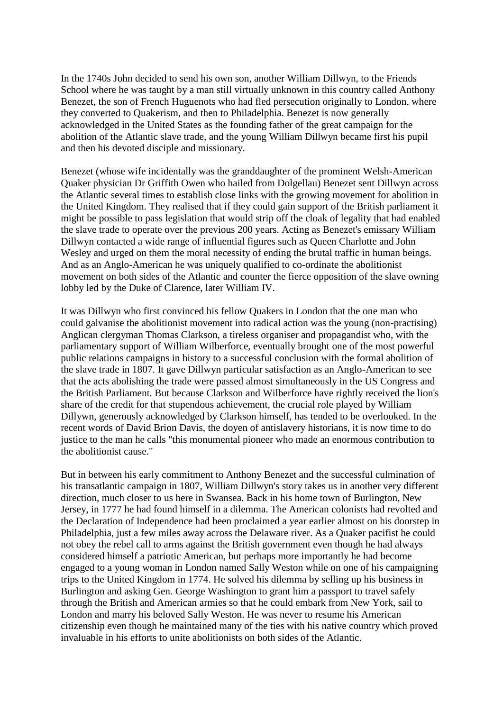In the 1740s John decided to send his own son, another William Dillwyn, to the Friends School where he was taught by a man still virtually unknown in this country called Anthony Benezet, the son of French Huguenots who had fled persecution originally to London, where they converted to Quakerism, and then to Philadelphia. Benezet is now generally acknowledged in the United States as the founding father of the great campaign for the abolition of the Atlantic slave trade, and the young William Dillwyn became first his pupil and then his devoted disciple and missionary.

Benezet (whose wife incidentally was the granddaughter of the prominent Welsh-American Quaker physician Dr Griffith Owen who hailed from Dolgellau) Benezet sent Dillwyn across the Atlantic several times to establish close links with the growing movement for abolition in the United Kingdom. They realised that if they could gain support of the British parliament it might be possible to pass legislation that would strip off the cloak of legality that had enabled the slave trade to operate over the previous 200 years. Acting as Benezet's emissary William Dillwyn contacted a wide range of influential figures such as Queen Charlotte and John Wesley and urged on them the moral necessity of ending the brutal traffic in human beings. And as an Anglo-American he was uniquely qualified to co-ordinate the abolitionist movement on both sides of the Atlantic and counter the fierce opposition of the slave owning lobby led by the Duke of Clarence, later William IV.

It was Dillwyn who first convinced his fellow Quakers in London that the one man who could galvanise the abolitionist movement into radical action was the young (non-practising) Anglican clergyman Thomas Clarkson, a tireless organiser and propagandist who, with the parliamentary support of William Wilberforce, eventually brought one of the most powerful public relations campaigns in history to a successful conclusion with the formal abolition of the slave trade in 1807. It gave Dillwyn particular satisfaction as an Anglo-American to see that the acts abolishing the trade were passed almost simultaneously in the US Congress and the British Parliament. But because Clarkson and Wilberforce have rightly received the lion's share of the credit for that stupendous achievement, the crucial role played by William Dillywn, generously acknowledged by Clarkson himself, has tended to be overlooked. In the recent words of David Brion Davis, the doyen of antislavery historians, it is now time to do justice to the man he calls "this monumental pioneer who made an enormous contribution to the abolitionist cause."

But in between his early commitment to Anthony Benezet and the successful culmination of his transatlantic campaign in 1807, William Dillwyn's story takes us in another very different direction, much closer to us here in Swansea. Back in his home town of Burlington, New Jersey, in 1777 he had found himself in a dilemma. The American colonists had revolted and the Declaration of Independence had been proclaimed a year earlier almost on his doorstep in Philadelphia, just a few miles away across the Delaware river. As a Quaker pacifist he could not obey the rebel call to arms against the British government even though he had always considered himself a patriotic American, but perhaps more importantly he had become engaged to a young woman in London named Sally Weston while on one of his campaigning trips to the United Kingdom in 1774. He solved his dilemma by selling up his business in Burlington and asking Gen. George Washington to grant him a passport to travel safely through the British and American armies so that he could embark from New York, sail to London and marry his beloved Sally Weston. He was never to resume his American citizenship even though he maintained many of the ties with his native country which proved invaluable in his efforts to unite abolitionists on both sides of the Atlantic.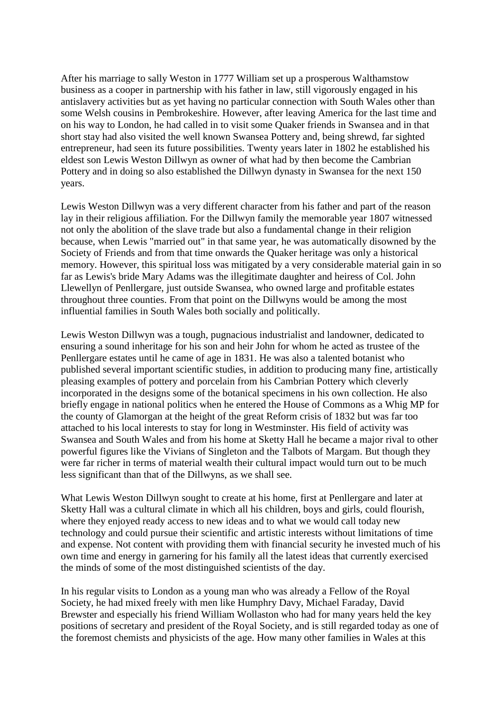After his marriage to sally Weston in 1777 William set up a prosperous Walthamstow business as a cooper in partnership with his father in law, still vigorously engaged in his antislavery activities but as yet having no particular connection with South Wales other than some Welsh cousins in Pembrokeshire. However, after leaving America for the last time and on his way to London, he had called in to visit some Quaker friends in Swansea and in that short stay had also visited the well known Swansea Pottery and, being shrewd, far sighted entrepreneur, had seen its future possibilities. Twenty years later in 1802 he established his eldest son Lewis Weston Dillwyn as owner of what had by then become the Cambrian Pottery and in doing so also established the Dillwyn dynasty in Swansea for the next 150 years.

Lewis Weston Dillwyn was a very different character from his father and part of the reason lay in their religious affiliation. For the Dillwyn family the memorable year 1807 witnessed not only the abolition of the slave trade but also a fundamental change in their religion because, when Lewis "married out" in that same year, he was automatically disowned by the Society of Friends and from that time onwards the Quaker heritage was only a historical memory. However, this spiritual loss was mitigated by a very considerable material gain in so far as Lewis's bride Mary Adams was the illegitimate daughter and heiress of Col. John Llewellyn of Penllergare, just outside Swansea, who owned large and profitable estates throughout three counties. From that point on the Dillwyns would be among the most influential families in South Wales both socially and politically.

Lewis Weston Dillwyn was a tough, pugnacious industrialist and landowner, dedicated to ensuring a sound inheritage for his son and heir John for whom he acted as trustee of the Penllergare estates until he came of age in 1831. He was also a talented botanist who published several important scientific studies, in addition to producing many fine, artistically pleasing examples of pottery and porcelain from his Cambrian Pottery which cleverly incorporated in the designs some of the botanical specimens in his own collection. He also briefly engage in national politics when he entered the House of Commons as a Whig MP for the county of Glamorgan at the height of the great Reform crisis of 1832 but was far too attached to his local interests to stay for long in Westminster. His field of activity was Swansea and South Wales and from his home at Sketty Hall he became a major rival to other powerful figures like the Vivians of Singleton and the Talbots of Margam. But though they were far richer in terms of material wealth their cultural impact would turn out to be much less significant than that of the Dillwyns, as we shall see.

What Lewis Weston Dillwyn sought to create at his home, first at Penllergare and later at Sketty Hall was a cultural climate in which all his children, boys and girls, could flourish, where they enjoyed ready access to new ideas and to what we would call today new technology and could pursue their scientific and artistic interests without limitations of time and expense. Not content with providing them with financial security he invested much of his own time and energy in garnering for his family all the latest ideas that currently exercised the minds of some of the most distinguished scientists of the day.

In his regular visits to London as a young man who was already a Fellow of the Royal Society, he had mixed freely with men like Humphry Davy, Michael Faraday, David Brewster and especially his friend William Wollaston who had for many years held the key positions of secretary and president of the Royal Society, and is still regarded today as one of the foremost chemists and physicists of the age. How many other families in Wales at this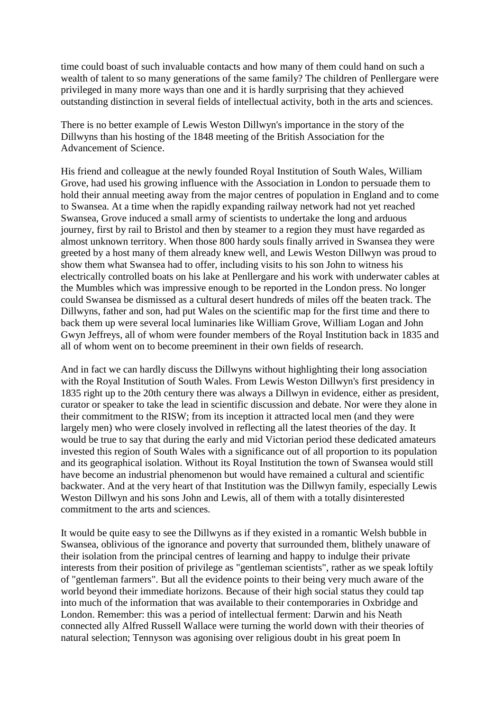time could boast of such invaluable contacts and how many of them could hand on such a wealth of talent to so many generations of the same family? The children of Penllergare were privileged in many more ways than one and it is hardly surprising that they achieved outstanding distinction in several fields of intellectual activity, both in the arts and sciences.

There is no better example of Lewis Weston Dillwyn's importance in the story of the Dillwyns than his hosting of the 1848 meeting of the British Association for the Advancement of Science.

His friend and colleague at the newly founded Royal Institution of South Wales, William Grove, had used his growing influence with the Association in London to persuade them to hold their annual meeting away from the major centres of population in England and to come to Swansea. At a time when the rapidly expanding railway network had not yet reached Swansea, Grove induced a small army of scientists to undertake the long and arduous journey, first by rail to Bristol and then by steamer to a region they must have regarded as almost unknown territory. When those 800 hardy souls finally arrived in Swansea they were greeted by a host many of them already knew well, and Lewis Weston Dillwyn was proud to show them what Swansea had to offer, including visits to his son John to witness his electrically controlled boats on his lake at Penllergare and his work with underwater cables at the Mumbles which was impressive enough to be reported in the London press. No longer could Swansea be dismissed as a cultural desert hundreds of miles off the beaten track. The Dillwyns, father and son, had put Wales on the scientific map for the first time and there to back them up were several local luminaries like William Grove, William Logan and John Gwyn Jeffreys, all of whom were founder members of the Royal Institution back in 1835 and all of whom went on to become preeminent in their own fields of research.

And in fact we can hardly discuss the Dillwyns without highlighting their long association with the Royal Institution of South Wales. From Lewis Weston Dillwyn's first presidency in 1835 right up to the 20th century there was always a Dillwyn in evidence, either as president, curator or speaker to take the lead in scientific discussion and debate. Nor were they alone in their commitment to the RISW; from its inception it attracted local men (and they were largely men) who were closely involved in reflecting all the latest theories of the day. It would be true to say that during the early and mid Victorian period these dedicated amateurs invested this region of South Wales with a significance out of all proportion to its population and its geographical isolation. Without its Royal Institution the town of Swansea would still have become an industrial phenomenon but would have remained a cultural and scientific backwater. And at the very heart of that Institution was the Dillwyn family, especially Lewis Weston Dillwyn and his sons John and Lewis, all of them with a totally disinterested commitment to the arts and sciences.

It would be quite easy to see the Dillwyns as if they existed in a romantic Welsh bubble in Swansea, oblivious of the ignorance and poverty that surrounded them, blithely unaware of their isolation from the principal centres of learning and happy to indulge their private interests from their position of privilege as "gentleman scientists", rather as we speak loftily of "gentleman farmers". But all the evidence points to their being very much aware of the world beyond their immediate horizons. Because of their high social status they could tap into much of the information that was available to their contemporaries in Oxbridge and London. Remember: this was a period of intellectual ferment: Darwin and his Neath connected ally Alfred Russell Wallace were turning the world down with their theories of natural selection; Tennyson was agonising over religious doubt in his great poem In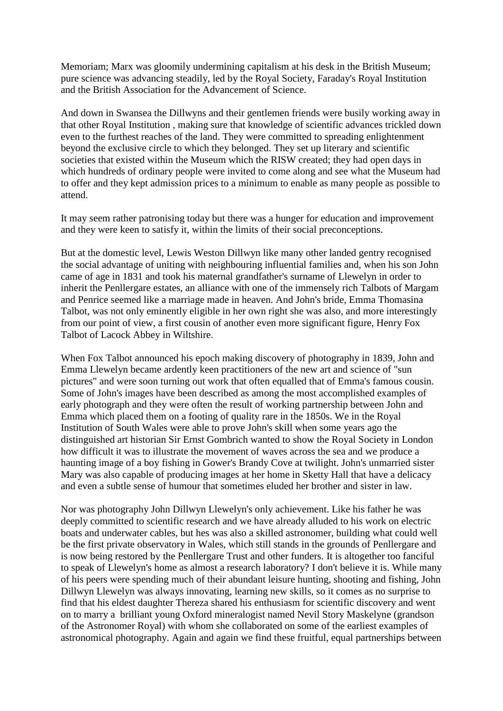Memoriam; Marx was gloomily undermining capitalism at his desk in the British Museum; pure science was advancing steadily, led by the Royal Society, Faraday's Royal Institution and the British Association for the Advancement of Science.

And down in Swansea the Dillwyns and their gentlemen friends were busily working away in that other Royal Institution , making sure that knowledge of scientific advances trickled down even to the furthest reaches of the land. They were committed to spreading enlightenment beyond the exclusive circle to which they belonged. They set up literary and scientific societies that existed within the Museum which the RISW created; they had open days in which hundreds of ordinary people were invited to come along and see what the Museum had to offer and they kept admission prices to a minimum to enable as many people as possible to attend.

It may seem rather patronising today but there was a hunger for education and improvement and they were keen to satisfy it, within the limits of their social preconceptions.

But at the domestic level, Lewis Weston Dillwyn like many other landed gentry recognised the social advantage of uniting with neighbouring influential families and, when his son John came of age in 1831 and took his maternal grandfather's surname of Llewelyn in order to inherit the Penllergare estates, an alliance with one of the immensely rich Talbots of Margam and Penrice seemed like a marriage made in heaven. And John's bride, Emma Thomasina Talbot, was not only eminently eligible in her own right she was also, and more interestingly from our point of view, a first cousin of another even more significant figure, Henry Fox Talbot of Lacock Abbey in Wiltshire.

When Fox Talbot announced his epoch making discovery of photography in 1839, John and Emma Llewelyn became ardently keen practitioners of the new art and science of "sun pictures" and were soon turning out work that often equalled that of Emma's famous cousin. Some of John's images have been described as among the most accomplished examples of early photograph and they were often the result of working partnership between John and Emma which placed them on a footing of quality rare in the 1850s. We in the Royal Institution of South Wales were able to prove John's skill when some years ago the distinguished art historian Sir Ernst Gombrich wanted to show the Royal Society in London how difficult it was to illustrate the movement of waves across the sea and we produce a haunting image of a boy fishing in Gower's Brandy Cove at twilight. John's unmarried sister Mary was also capable of producing images at her home in Sketty Hall that have a delicacy and even a subtle sense of humour that sometimes eluded her brother and sister in law.

Nor was photography John Dillwyn Llewelyn's only achievement. Like his father he was deeply committed to scientific research and we have already alluded to his work on electric boats and underwater cables, but hes was also a skilled astronomer, building what could well be the first private observatory in Wales, which still stands in the grounds of Penllergare and is now being restored by the Penllergare Trust and other funders. It is altogether too fanciful to speak of Llewelyn's home as almost a research laboratory? I don't believe it is. While many of his peers were spending much of their abundant leisure hunting, shooting and fishing, John Dillwyn Llewelyn was always innovating, learning new skills, so it comes as no surprise to find that his eldest daughter Thereza shared his enthusiasm for scientific discovery and went on to marry a brilliant young Oxford mineralogist named Nevil Story Maskelyne (grandson of the Astronomer Royal) with whom she collaborated on some of the earliest examples of astronomical photography. Again and again we find these fruitful, equal partnerships between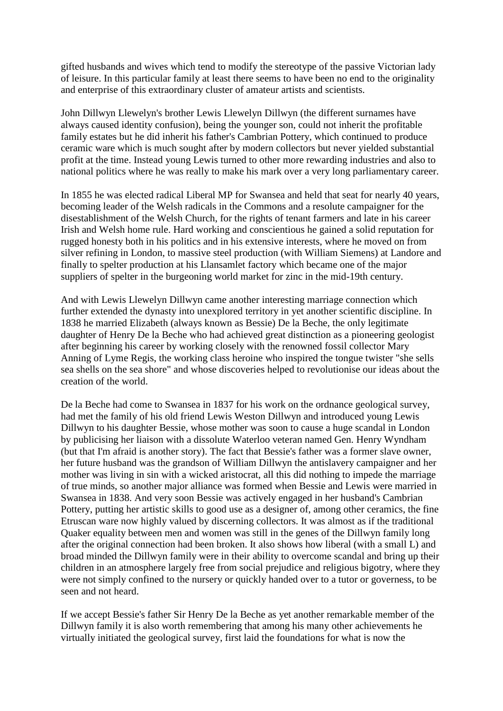gifted husbands and wives which tend to modify the stereotype of the passive Victorian lady of leisure. In this particular family at least there seems to have been no end to the originality and enterprise of this extraordinary cluster of amateur artists and scientists.

John Dillwyn Llewelyn's brother Lewis Llewelyn Dillwyn (the different surnames have always caused identity confusion), being the younger son, could not inherit the profitable family estates but he did inherit his father's Cambrian Pottery, which continued to produce ceramic ware which is much sought after by modern collectors but never yielded substantial profit at the time. Instead young Lewis turned to other more rewarding industries and also to national politics where he was really to make his mark over a very long parliamentary career.

In 1855 he was elected radical Liberal MP for Swansea and held that seat for nearly 40 years, becoming leader of the Welsh radicals in the Commons and a resolute campaigner for the disestablishment of the Welsh Church, for the rights of tenant farmers and late in his career Irish and Welsh home rule. Hard working and conscientious he gained a solid reputation for rugged honesty both in his politics and in his extensive interests, where he moved on from silver refining in London, to massive steel production (with William Siemens) at Landore and finally to spelter production at his Llansamlet factory which became one of the major suppliers of spelter in the burgeoning world market for zinc in the mid-19th century.

And with Lewis Llewelyn Dillwyn came another interesting marriage connection which further extended the dynasty into unexplored territory in yet another scientific discipline. In 1838 he married Elizabeth (always known as Bessie) De la Beche, the only legitimate daughter of Henry De la Beche who had achieved great distinction as a pioneering geologist after beginning his career by working closely with the renowned fossil collector Mary Anning of Lyme Regis, the working class heroine who inspired the tongue twister "she sells sea shells on the sea shore" and whose discoveries helped to revolutionise our ideas about the creation of the world.

De la Beche had come to Swansea in 1837 for his work on the ordnance geological survey, had met the family of his old friend Lewis Weston Dillwyn and introduced young Lewis Dillwyn to his daughter Bessie, whose mother was soon to cause a huge scandal in London by publicising her liaison with a dissolute Waterloo veteran named Gen. Henry Wyndham (but that I'm afraid is another story). The fact that Bessie's father was a former slave owner, her future husband was the grandson of William Dillwyn the antislavery campaigner and her mother was living in sin with a wicked aristocrat, all this did nothing to impede the marriage of true minds, so another major alliance was formed when Bessie and Lewis were married in Swansea in 1838. And very soon Bessie was actively engaged in her husband's Cambrian Pottery, putting her artistic skills to good use as a designer of, among other ceramics, the fine Etruscan ware now highly valued by discerning collectors. It was almost as if the traditional Quaker equality between men and women was still in the genes of the Dillwyn family long after the original connection had been broken. It also shows how liberal (with a small L) and broad minded the Dillwyn family were in their ability to overcome scandal and bring up their children in an atmosphere largely free from social prejudice and religious bigotry, where they were not simply confined to the nursery or quickly handed over to a tutor or governess, to be seen and not heard.

If we accept Bessie's father Sir Henry De la Beche as yet another remarkable member of the Dillwyn family it is also worth remembering that among his many other achievements he virtually initiated the geological survey, first laid the foundations for what is now the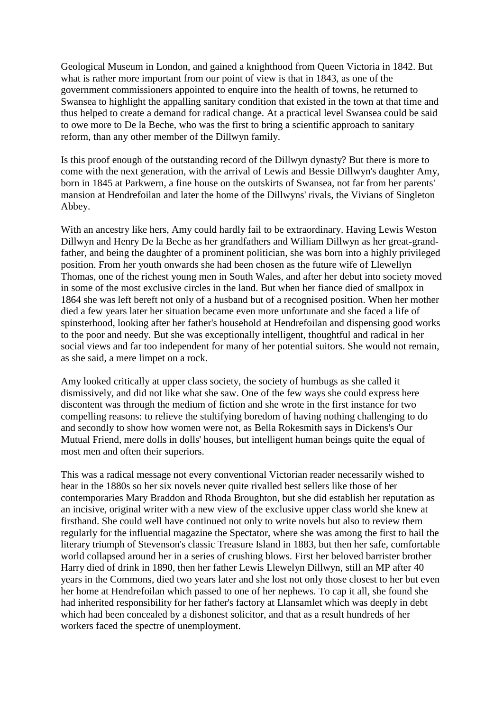Geological Museum in London, and gained a knighthood from Queen Victoria in 1842. But what is rather more important from our point of view is that in 1843, as one of the government commissioners appointed to enquire into the health of towns, he returned to Swansea to highlight the appalling sanitary condition that existed in the town at that time and thus helped to create a demand for radical change. At a practical level Swansea could be said to owe more to De la Beche, who was the first to bring a scientific approach to sanitary reform, than any other member of the Dillwyn family.

Is this proof enough of the outstanding record of the Dillwyn dynasty? But there is more to come with the next generation, with the arrival of Lewis and Bessie Dillwyn's daughter Amy, born in 1845 at Parkwern, a fine house on the outskirts of Swansea, not far from her parents' mansion at Hendrefoilan and later the home of the Dillwyns' rivals, the Vivians of Singleton Abbey.

With an ancestry like hers, Amy could hardly fail to be extraordinary. Having Lewis Weston Dillwyn and Henry De la Beche as her grandfathers and William Dillwyn as her great-grandfather, and being the daughter of a prominent politician, she was born into a highly privileged position. From her youth onwards she had been chosen as the future wife of Llewellyn Thomas, one of the richest young men in South Wales, and after her debut into society moved in some of the most exclusive circles in the land. But when her fiance died of smallpox in 1864 she was left bereft not only of a husband but of a recognised position. When her mother died a few years later her situation became even more unfortunate and she faced a life of spinsterhood, looking after her father's household at Hendrefoilan and dispensing good works to the poor and needy. But she was exceptionally intelligent, thoughtful and radical in her social views and far too independent for many of her potential suitors. She would not remain, as she said, a mere limpet on a rock.

Amy looked critically at upper class society, the society of humbugs as she called it dismissively, and did not like what she saw. One of the few ways she could express here discontent was through the medium of fiction and she wrote in the first instance for two compelling reasons: to relieve the stultifying boredom of having nothing challenging to do and secondly to show how women were not, as Bella Rokesmith says in Dickens's Our Mutual Friend, mere dolls in dolls' houses, but intelligent human beings quite the equal of most men and often their superiors.

This was a radical message not every conventional Victorian reader necessarily wished to hear in the 1880s so her six novels never quite rivalled best sellers like those of her contemporaries Mary Braddon and Rhoda Broughton, but she did establish her reputation as an incisive, original writer with a new view of the exclusive upper class world she knew at firsthand. She could well have continued not only to write novels but also to review them regularly for the influential magazine the Spectator, where she was among the first to hail the literary triumph of Stevenson's classic Treasure Island in 1883, but then her safe, comfortable world collapsed around her in a series of crushing blows. First her beloved barrister brother Harry died of drink in 1890, then her father Lewis Llewelyn Dillwyn, still an MP after 40 years in the Commons, died two years later and she lost not only those closest to her but even her home at Hendrefoilan which passed to one of her nephews. To cap it all, she found she had inherited responsibility for her father's factory at Llansamlet which was deeply in debt which had been concealed by a dishonest solicitor, and that as a result hundreds of her workers faced the spectre of unemployment.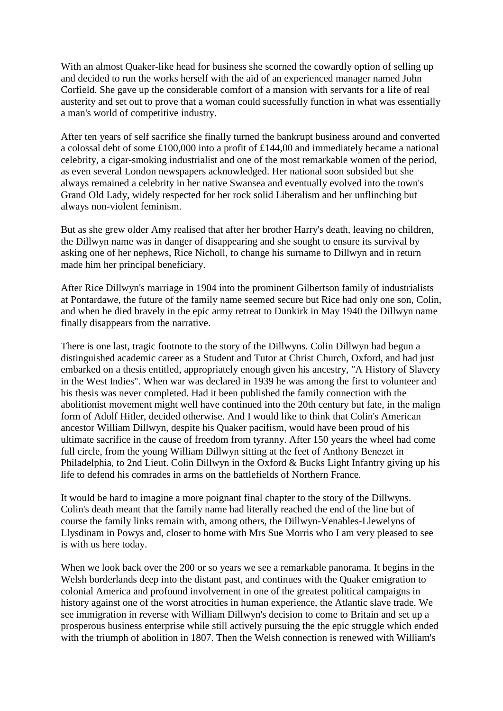With an almost Quaker-like head for business she scorned the cowardly option of selling up and decided to run the works herself with the aid of an experienced manager named John Corfield. She gave up the considerable comfort of a mansion with servants for a life of real austerity and set out to prove that a woman could sucessfully function in what was essentially a man's world of competitive industry.

After ten years of self sacrifice she finally turned the bankrupt business around and converted a colossal debt of some £100,000 into a profit of £144,00 and immediately became a national celebrity, a cigar-smoking industrialist and one of the most remarkable women of the period, as even several London newspapers acknowledged. Her national soon subsided but she always remained a celebrity in her native Swansea and eventually evolved into the town's Grand Old Lady, widely respected for her rock solid Liberalism and her unflinching but always non-violent feminism.

But as she grew older Amy realised that after her brother Harry's death, leaving no children, the Dillwyn name was in danger of disappearing and she sought to ensure its survival by asking one of her nephews, Rice Nicholl, to change his surname to Dillwyn and in return made him her principal beneficiary.

After Rice Dillwyn's marriage in 1904 into the prominent Gilbertson family of industrialists at Pontardawe, the future of the family name seemed secure but Rice had only one son, Colin, and when he died bravely in the epic army retreat to Dunkirk in May 1940 the Dillwyn name finally disappears from the narrative.

There is one last, tragic footnote to the story of the Dillwyns. Colin Dillwyn had begun a distinguished academic career as a Student and Tutor at Christ Church, Oxford, and had just embarked on a thesis entitled, appropriately enough given his ancestry, "A History of Slavery in the West Indies". When war was declared in 1939 he was among the first to volunteer and his thesis was never completed. Had it been published the family connection with the abolitionist movement might well have continued into the 20th century but fate, in the malign form of Adolf Hitler, decided otherwise. And I would like to think that Colin's American ancestor William Dillwyn, despite his Quaker pacifism, would have been proud of his ultimate sacrifice in the cause of freedom from tyranny. After 150 years the wheel had come full circle, from the young William Dillwyn sitting at the feet of Anthony Benezet in Philadelphia, to 2nd Lieut. Colin Dillwyn in the Oxford & Bucks Light Infantry giving up his life to defend his comrades in arms on the battlefields of Northern France.

It would be hard to imagine a more poignant final chapter to the story of the Dillwyns. Colin's death meant that the family name had literally reached the end of the line but of course the family links remain with, among others, the Dillwyn-Venables-Llewelyns of Llysdinam in Powys and, closer to home with Mrs Sue Morris who I am very pleased to see is with us here today.

When we look back over the 200 or so years we see a remarkable panorama. It begins in the Welsh borderlands deep into the distant past, and continues with the Quaker emigration to colonial America and profound involvement in one of the greatest political campaigns in history against one of the worst atrocities in human experience, the Atlantic slave trade. We see immigration in reverse with William Dillwyn's decision to come to Britain and set up a prosperous business enterprise while still actively pursuing the the epic struggle which ended with the triumph of abolition in 1807. Then the Welsh connection is renewed with William's